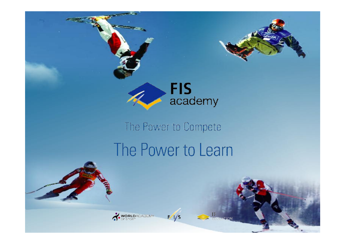

The Power to Compete

## The Power to Learn

 $F/fs$ 

WORLDACADEMY

IF<br>HELGATION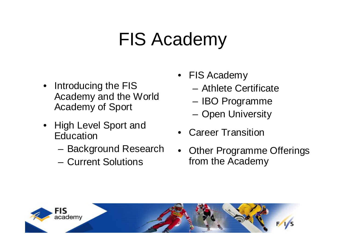- Introducing the FIS Academy and the World Academy of Sport
- High Level Sport and **Education** 
	- Background Research
	- Current Solutions
- **Overview of Presentation** • FIS Academy
	- Athlete Certificate
	- IBO Programme
	- Open University
	- Career Transition
	- Other Programme Offerings from the Academy

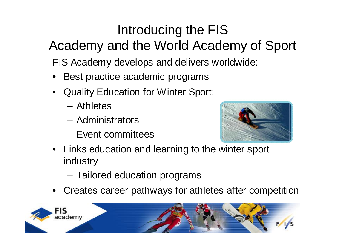#### Introducing the FIS Academy and the World Academy of Sport

FIS Academy develops and delivers worldwide:

- Best practice academic programs
- Quality Education for Winter Sport:
	- Athletes
	- Administrators
	- Event committees



- Links education and learning to the winter sport industry
	- Tailored education programs
- Creates career pathways for athletes after competition

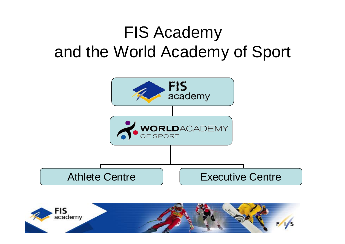## FIS Academy and the World Academy of Sport



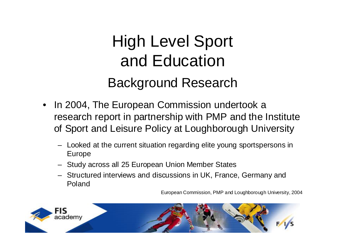## High Level Sport and Education Background Research

- In 2004, The European Commission undertook a research report in partnership with PMP and the Institute of Sport and Leisure Policy at Loughborough University
	- Looked at the current situation regarding elite young sportspersons in Europe
	- Study across all 25 European Union Member States
	- Structured interviews and discussions in UK, France, Germany and Poland

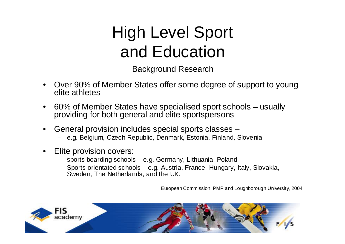## High Level Sport and Education

Background Research

- Over 90% of Member States offer some degree of support to young elite athletes
- 60% of Member States have specialised sport schools usually providing for both general and elite sportspersons
- General provision includes special sports classes
	- e.g. Belgium, Czech Republic, Denmark, Estonia, Finland, Slovenia
- Elite provision covers:
	- sports boarding schools e.g. Germany, Lithuania, Poland
	- Sports orientated schools e.g. Austria, France, Hungary, Italy, Slovakia, Sweden, The Netherlands, and the UK.

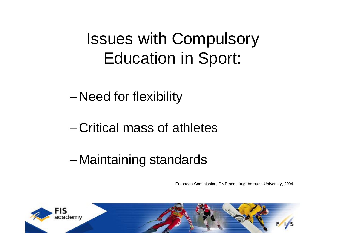## Issues with Compulsory Education in Sport:

– Need for flexibility

#### – Critical mass of athletes

#### – Maintaining standards

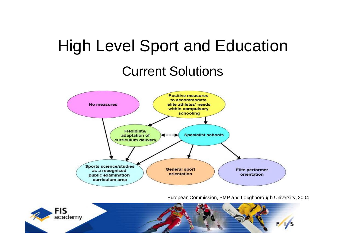## High Level Sport and Education

#### Current Solutions



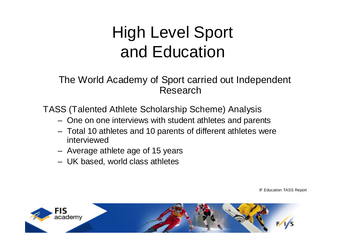## High Level Sport and Education

The World Academy of Sport carried out Independent Research

TASS (Talented Athlete Scholarship Scheme) Analysis

- One on one interviews with student athletes and parents
- Total 10 athletes and 10 parents of different athletes were interviewed
- Average athlete age of 15 years
- UK based, world class athletes

IF Education TASS Report

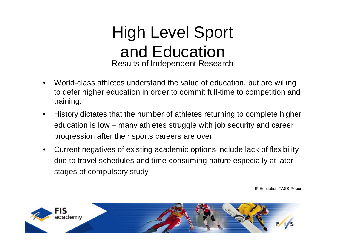

- World-class athletes understand the value of education, but are willing to defer higher education in order to commit full-time to competition and training.
- History dictates that the number of athletes returning to complete higher education is low – many athletes struggle with job security and career progression after their sports careers are over
- Current negatives of existing academic options include lack of flexibility due to travel schedules and time-consuming nature especially at later stages of compulsory study

IF Education TASS Report

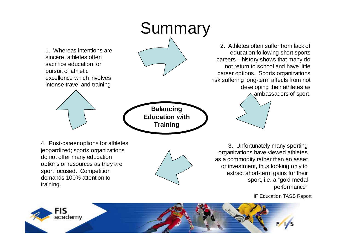

sport, i.e. a "gold medal performance"

IF Education TASS Report



training.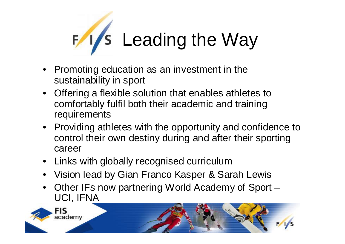

- Promoting education as an investment in the sustainability in sport
- Offering a flexible solution that enables athletes to comfortably fulfil both their academic and training requirements
- Providing athletes with the opportunity and confidence to control their own destiny during and after their sporting career
- Links with globally recognised curriculum
- Vision lead by Gian Franco Kasper & Sarah Lewis
- Other IFs now partnering World Academy of Sport UCI, IFNA

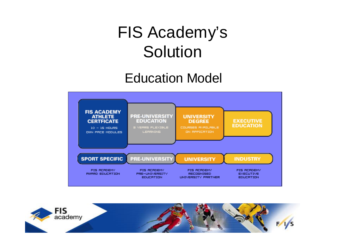## FIS Academy's Solution

#### Education Model



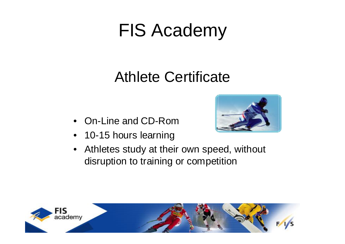#### Athlete Certificate

- On-Line and CD-Rom
- 10-15 hours learning



• Athletes study at their own speed, without disruption to training or competition

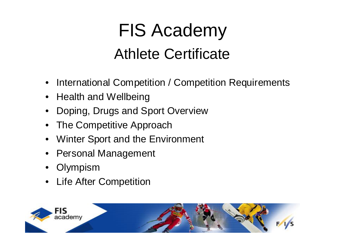# FIS Academy Athlete Certificate

- International Competition / Competition Requirements
- Health and Wellbeing
- Doping, Drugs and Sport Overview
- The Competitive Approach
- Winter Sport and the Environment
- Personal Management
- **Olympism**
- Life After Competition

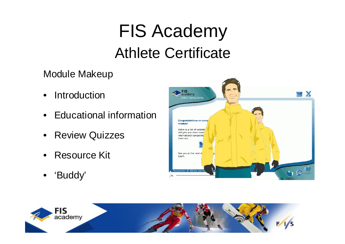## FIS Academy Athlete Certificate

Module Makeup

- Introduction
- Educational information
- Review Quizzes
- Resource Kit
- 'Buddy'



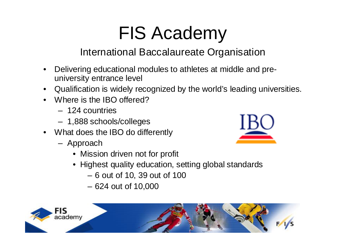#### International Baccalaureate Organisation

- Delivering educational modules to athletes at middle and preuniversity entrance level
- Qualification is widely recognized by the world's leading universities.
- Where is the IBO offered?
	- 124 countries
	- 1,888 schools/colleges
- What does the IBO do differently
	- Approach
		- Mission driven not for profit
		- Highest quality education, setting global standards
			- 6 out of 10, 39 out of 100
			- 624 out of 10,000



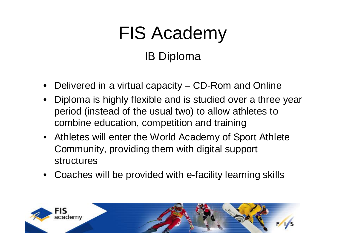# FIS Academy IB Diploma

- Delivered in a virtual capacity CD-Rom and Online
- Diploma is highly flexible and is studied over a three year period (instead of the usual two) to allow athletes to combine education, competition and training
- Athletes will enter the World Academy of Sport Athlete Community, providing them with digital support structures
- Coaches will be provided with e-facility learning skills

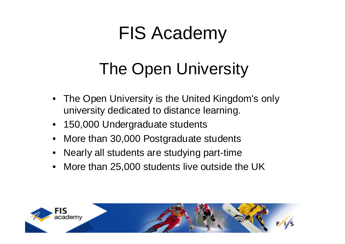## The Open University

- The Open University is the United Kingdom's only university dedicated to distance learning.
- 150,000 Undergraduate students
- More than 30,000 Postgraduate students
- Nearly all students are studying part-time
- More than 25,000 students live outside the UK

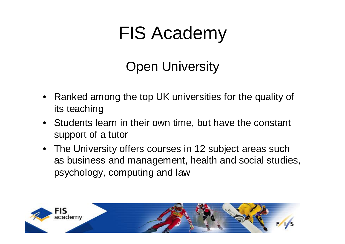#### Open University

- Ranked among the top UK universities for the quality of its teaching
- Students learn in their own time, but have the constant support of a tutor
- The University offers courses in 12 subject areas such as business and management, health and social studies, psychology, computing and law

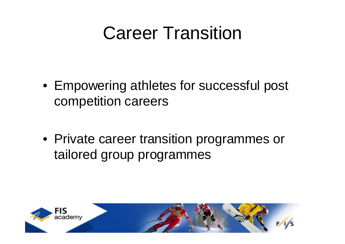## Career Transition

- Empowering athletes for successful post competition careers
- Private career transition programmes or tailored group programmes

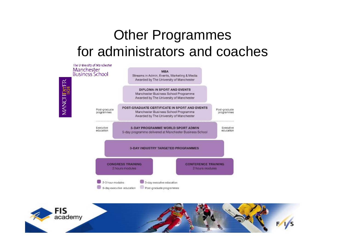#### Other Programmes for administrators and coaches